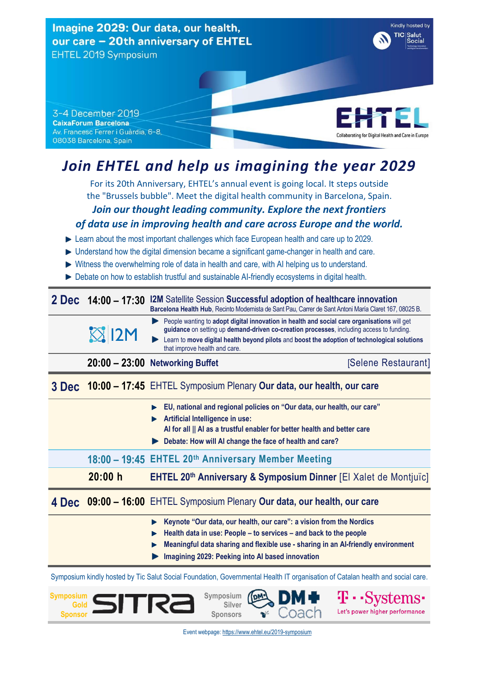Kindly hosted by Imagine 2029: Our data, our health, TIC Salut<br>Social our care - 20th anniversary of EHTEL EHTEL 2019 Symposium



3-4 December 2019 **CaixaForum Barcelona** Av. Francesc Ferrer i Guàrdia, 6-8, 08038 Barcelona, Spain

# *Join EHTEL and help us imagining the year 2029*

For its 20th Anniversary, EHTEL's annual event is going local. It steps outside the "Brussels bubble". Meet the digital health community in Barcelona, Spain.

## *Join our thought leading community. Explore the next frontiers*

#### *of data use in improving health and care across Europe and the world.*

- ► Learn about the most important challenges which face European health and care up to 2029.
- Understand how the digital dimension became a significant game-changer in health and care.
- $\blacktriangleright$  Witness the overwhelming role of data in health and care, with AI helping us to understand.
- Debate on how to establish trustful and sustainable AI-friendly ecosystems in digital health.

|  | 2 Dec 14:00 - 17:30 I2M Satellite Session Successful adoption of healthcare innovation                 |
|--|--------------------------------------------------------------------------------------------------------|
|  | Barcelona Health Hub, Recinto Modernista de Sant Pau, Carrer de Sant Antoni María Claret 167, 08025 B. |

People wanting to **adopt digital innovation in health and social care organisations** will get **guidance** on setting up **demand-driven co-creation processes**, including access to funding.  $X12M$ Learn to **move digital health beyond pilots** and **boost the adoption of technological solutions** that improve health and care

**20:00 – 23:00** Networking Buffet **Exercise 20:00 – 23:00** Networking Buffet

#### **3 Dec 10:00 – 17:45** EHTEL Symposium Plenary **Our data, our health, our care**

- **EU, national and regional policies on "Our data, our health, our care"**
- **Artificial Intelligence in use:** 
	- **AI for all || AI as a trustful enabler for better health and better care**
- **Debate: How will AI change the face of health and care?**

#### **18:00 – 19:45 EHTEL 20th Anniversary Member Meeting**

 **20:00 h EHTEL 20th Anniversary & Symposium Dinner** [El Xalet de Montjuïc]

#### **4 Dec 09:00 – 16:00** EHTEL Symposium Plenary **Our data, our health, our care**

- **Keynote "Our data, our health, our care": a vision from the Nordics**
- **Health data in use: People – to services – and back to the people**
- **Meaningful data sharing and flexible use - sharing in an AI-friendly environment**
- **Imagining 2029: Peeking into AI based innovation**

Symposium kindly hosted by Tic Salut Social Foundation, Governmental Health IT organisation of Catalan health and social care.



**Symposium Silver Sponsors**



Let's power higher performance

Event webpage: <https://www.ehtel.eu/2019-symposium>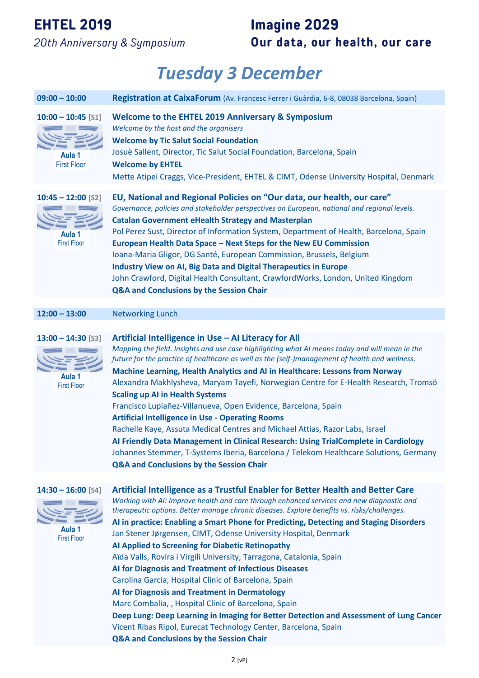#### **EHTEL 2019**

20th Anniversary & Symposium

### **Imagine 2029** Our data, our health, our care

# *Tuesday 3 December*

| $09:00 - 10:00$                                                 | Registration at CaixaForum (Av. Francesc Ferrer i Guàrdia, 6-8, 08038 Barcelona, Spain)                                                                                                                                                                                                                                                                                                                                                                                                                                                                                                                                                                                                                                                                                                                                                                                                                                                                                                                 |
|-----------------------------------------------------------------|---------------------------------------------------------------------------------------------------------------------------------------------------------------------------------------------------------------------------------------------------------------------------------------------------------------------------------------------------------------------------------------------------------------------------------------------------------------------------------------------------------------------------------------------------------------------------------------------------------------------------------------------------------------------------------------------------------------------------------------------------------------------------------------------------------------------------------------------------------------------------------------------------------------------------------------------------------------------------------------------------------|
| $10:00 - 10:45$ [S1]<br>Aula 1<br><b>First Floor</b>            | <b>Welcome to the EHTEL 2019 Anniversary &amp; Symposium</b><br>Welcome by the host and the organisers<br><b>Welcome by Tic Salut Social Foundation</b><br>Josuè Sallent, Director, Tic Salut Social Foundation, Barcelona, Spain<br><b>Welcome by EHTEL</b><br>Mette Atipei Craggs, Vice-President, EHTEL & CIMT, Odense University Hospital, Denmark                                                                                                                                                                                                                                                                                                                                                                                                                                                                                                                                                                                                                                                  |
| $10:45 - 12:00$ [S2]<br>Aula 1<br><b>First Floor</b>            | EU, National and Regional Policies on "Our data, our health, our care"<br>Governance, policies and stakeholder perspectives on European, national and regional levels.<br><b>Catalan Government eHealth Strategy and Masterplan</b><br>Pol Perez Sust, Director of Information System, Department of Health, Barcelona, Spain<br>European Health Data Space - Next Steps for the New EU Commission<br>Ioana-Maria Gligor, DG Santé, European Commission, Brussels, Belgium<br><b>Industry View on AI, Big Data and Digital Therapeutics in Europe</b><br>John Crawford, Digital Health Consultant, CrawfordWorks, London, United Kingdom<br>Q&A and Conclusions by the Session Chair                                                                                                                                                                                                                                                                                                                    |
| $12:00 - 13:00$                                                 | <b>Networking Lunch</b>                                                                                                                                                                                                                                                                                                                                                                                                                                                                                                                                                                                                                                                                                                                                                                                                                                                                                                                                                                                 |
| $13:00 - 14:30$ [S3]<br>Aula <sub>1</sub><br><b>First Floor</b> | Artificial Intelligence in Use - AI Literacy for All<br>Mapping the field. Insights and use case highlighting what AI means today and will mean in the<br>future for the practice of healthcare as well as the (self-)management of health and wellness.<br><b>Machine Learning, Health Analytics and AI in Healthcare: Lessons from Norway</b><br>Alexandra Makhlysheva, Maryam Tayefi, Norwegian Centre for E-Health Research, Tromsö<br><b>Scaling up AI in Health Systems</b><br>Francisco Lupiañez-Villanueva, Open Evidence, Barcelona, Spain<br><b>Artificial Intelligence in Use - Operating Rooms</b><br>Rachelle Kaye, Assuta Medical Centres and Michael Attias, Razor Labs, Israel<br>Al Friendly Data Management in Clinical Research: Using TrialComplete in Cardiology<br>Johannes Stemmer, T-Systems Iberia, Barcelona / Telekom Healthcare Solutions, Germany<br>Q&A and Conclusions by the Session Chair                                                                              |
| $14:30 - 16:00$ [S4]<br>Aula 1<br><b>First Floor</b>            | Artificial Intelligence as a Trustful Enabler for Better Health and Better Care<br>Working with AI: Improve health and care through enhanced services and new diagnostic and<br>therapeutic options. Better manage chronic diseases. Explore benefits vs. risks/challenges.<br>AI in practice: Enabling a Smart Phone for Predicting, Detecting and Staging Disorders<br>Jan Stener Jørgensen, CIMT, Odense University Hospital, Denmark<br>Al Applied to Screening for Diabetic Retinopathy<br>Aïda Valls, Rovira i Virgili University, Tarragona, Catalonia, Spain<br>Al for Diagnosis and Treatment of Infectious Diseases<br>Carolina Garcia, Hospital Clinic of Barcelona, Spain<br>Al for Diagnosis and Treatment in Dermatology<br>Marc Combalia, , Hospital Clinic of Barcelona, Spain<br>Deep Lung: Deep Learning in Imaging for Better Detection and Assessment of Lung Cancer<br>Vicent Ribas Ripol, Eurecat Technology Center, Barcelona, Spain<br>Q&A and Conclusions by the Session Chair |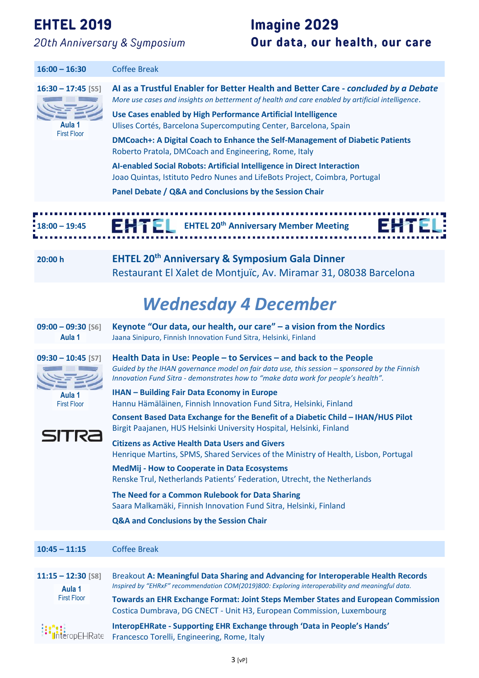#### **EHTEL 2019**

20th Anniversary & Symposium

### **Imagine 2029** Our data, our health, our care

| $16:00 - 16:30$                           | <b>Coffee Break</b>                                                                                                                                                                                                                                     |
|-------------------------------------------|---------------------------------------------------------------------------------------------------------------------------------------------------------------------------------------------------------------------------------------------------------|
| $16:30 - 17:45$ [S5]                      | AI as a Trustful Enabler for Better Health and Better Care - concluded by a Debate<br>More use cases and insights on betterment of health and care enabled by artificial intelligence.                                                                  |
| Aula 1                                    | Use Cases enabled by High Performance Artificial Intelligence<br>Ulises Cortés, Barcelona Supercomputing Center, Barcelona, Spain                                                                                                                       |
| <b>First Floor</b>                        | DMCoach+: A Digital Coach to Enhance the Self-Management of Diabetic Patients<br>Roberto Pratola, DMCoach and Engineering, Rome, Italy                                                                                                                  |
|                                           | AI-enabled Social Robots: Artificial Intelligence in Direct Interaction<br>Joao Quintas, Istituto Pedro Nunes and LifeBots Project, Coimbra, Portugal                                                                                                   |
|                                           | Panel Debate / Q&A and Conclusions by the Session Chair                                                                                                                                                                                                 |
| $18:00 - 19:45$<br>20:00 h                | <b>EXAMPLE EHTEL 20th Anniversary Member Meeting</b><br><b>EHTEL 20th Anniversary &amp; Symposium Gala Dinner</b>                                                                                                                                       |
|                                           | Restaurant El Xalet de Montjuïc, Av. Miramar 31, 08038 Barcelona                                                                                                                                                                                        |
|                                           | <b>Wednesday 4 December</b>                                                                                                                                                                                                                             |
| $09:00 - 09:30$ [S6]<br>Aula <sub>1</sub> | Keynote "Our data, our health, our care" - a vision from the Nordics<br>Jaana Sinipuro, Finnish Innovation Fund Sitra, Helsinki, Finland                                                                                                                |
| $09:30 - 10:45$ [S7]                      | Health Data in Use: People - to Services - and back to the People<br>Guided by the IHAN governance model on fair data use, this session - sponsored by the Finnish<br>Innovation Fund Sitra - demonstrates how to "make data work for people's health". |
| Aula 1<br><b>First Floor</b>              | <b>IHAN - Building Fair Data Economy in Europe</b><br>Hannu Hämäläinen, Finnish Innovation Fund Sitra, Helsinki, Finland                                                                                                                                |
|                                           | Consent Based Data Exchange for the Benefit of a Diabetic Child - IHAN/HUS Pilot<br>Birgit Paajanen, HUS Helsinki University Hospital, Helsinki, Finland                                                                                                |
| SITRE                                     | <b>Citizens as Active Health Data Users and Givers</b><br>Henrique Martins, SPMS, Shared Services of the Ministry of Health, Lisbon, Portugal                                                                                                           |
|                                           | <b>MedMij - How to Cooperate in Data Ecosystems</b><br>Renske Trul, Netherlands Patients' Federation, Utrecht, the Netherlands                                                                                                                          |
|                                           | The Need for a Common Rulebook for Data Sharing<br>Saara Malkamäki, Finnish Innovation Fund Sitra, Helsinki, Finland                                                                                                                                    |
|                                           | Q&A and Conclusions by the Session Chair                                                                                                                                                                                                                |
|                                           |                                                                                                                                                                                                                                                         |
| $10:45 - 11:15$                           | <b>Coffee Break</b>                                                                                                                                                                                                                                     |
| $11:15 - 12:30$ [S8]<br>Aula 1            | Breakout A: Meaningful Data Sharing and Advancing for Interoperable Health Records<br>Inspired by "EHRxF" recommendation COM(2019)800: Exploring interoperability and meaningful data.                                                                  |
| <b>First Floor</b>                        | <b>Towards an EHR Exchange Format: Joint Steps Member States and European Commission</b><br>Costica Dumbrava, DG CNECT - Unit H3, European Commission, Luxembourg                                                                                       |
| nteropEHRate                              | InteropEHRate - Supporting EHR Exchange through 'Data in People's Hands'<br>Francesco Torelli, Engineering, Rome, Italy                                                                                                                                 |